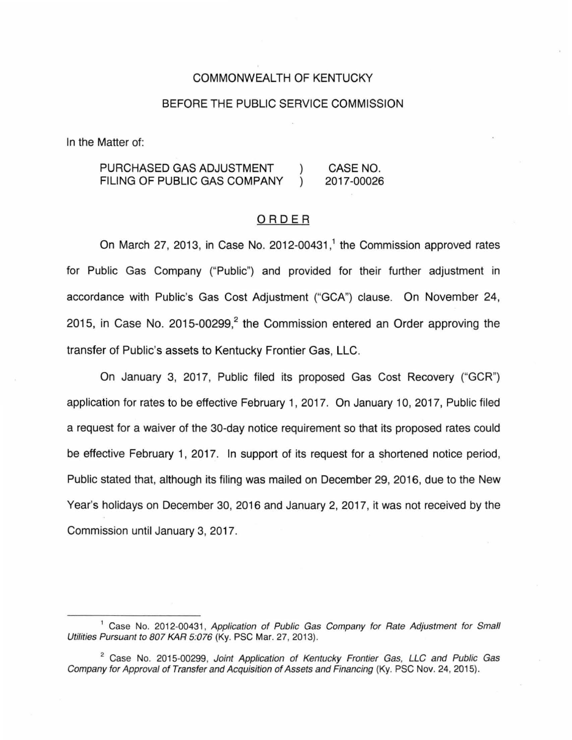### COMMONWEALTH OF KENTUCKY

### BEFORE THE PUBLIC SERVICE COMMISSION

In the Matter of:

PURCHASED GAS ADJUSTMENT CASE NO. FILING OF PUBLIC GAS COMPANY 2017-00026  $\lambda$ 

### ORDER

On March 27, 2013, in Case No. 2012-00431,<sup>1</sup> the Commission approved rates for Public Gas Company ("Public") and provided for their further adjustment in accordance with Public's Gas Cost Adjustment ("GCA") clause. On November 24, 2015, in Case No. 2015-00299, $^2$  the Commission entered an Order approving the transfer of Public's assets to Kentucky Frontier Gas, LLC.

On January 3, 2017, Public filed its proposed Gas Cost Recovery ("GCR") application for rates to be effective February 1, 2017. On January 10, 2017, Public filed a request for a waiver of the 30-day notice requirement so that its proposed rates could be effective February 1, 2017. In support of its request for a shortened notice period, Public stated that, although its filing was mailed on December 29, 2016, due to the New Year's holidays on December 30, 2016 and January 2, 2017, it was not received by the Commission until January 3, 2017.

<sup>&</sup>lt;sup>1</sup> Case No. 2012-00431, Application of Public Gas Company for Rate Adjustment for Small Utilities Pursuant to 807 KAR 5:076 (Ky. PSC Mar. 27, 2013).

<sup>&</sup>lt;sup>2</sup> Case No. 2015-00299, Joint Application of Kentucky Frontier Gas, LLC and Public Gas Company for Approval of Transfer and Acquisition of Assets and Financing (Ky. PSC Nov. 24, 2015).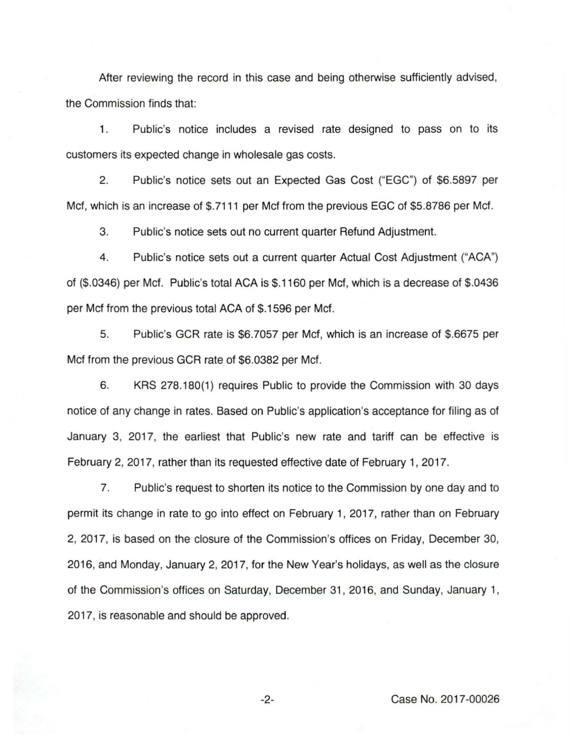After reviewing the record in this case and being otherwise sufficiently advised, the Commission finds that:

1. Public's notice includes a revised rate designed to pass on to its customers its expected change in wholesale gas costs.

2. Public's notice sets out an Expected Gas Cost ("EGC") of \$6.5897 per Met, which is an increase of \$.7111 per Mcf from the previous EGC of \$5.8786 per Met.

3. Public's notice sets out no current quarter Refund Adjustment.

4. Public's notice sets out a current quarter Actual Cost Adjustment ("ACA") of (\$.0346) per Mcf. Public's total ACA is \$.1160 per Mcf, which is a decrease of \$.0436 per Mcf from the previous total ACA of \$.1596 per Mcf.

5. Public's GCR rate is \$6.7057 per Mcf, which is an increase of \$.6675 per Met from the previous GCR rate of \$6.0382 per Mcf.

6. KRS 278.180(1) requires Public to provide the Commission with 30 days notice of any change in rates. Based on Public's application's acceptance for filing as of January 3, 2017, the earliest that Public's new rate and tariff can be effective is February 2, 2017, rather than its requested effective date of February 1, 2017.

7. Public's request to shorten its notice to the Commission by one day and to permit its change in rate to go into effect on February 1, 2017, rather than on February 2, 2017, is based on the closure of the Commission's offices on Friday, December 30, 2016, and Monday, January 2, 2017, for the New Year's holidays, as well as the closure of the Commission's offices on Saturday, December 31 , 2016, and Sunday, January 1, 2017, is reasonable and should be approved.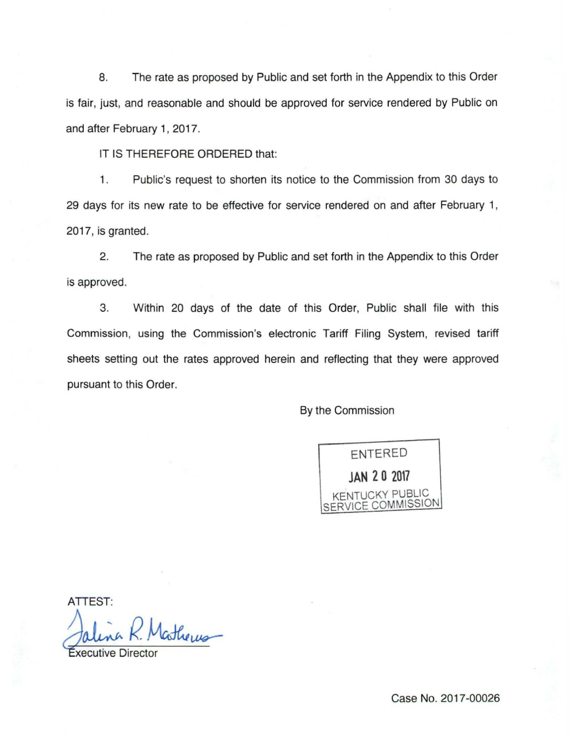8. The rate as proposed by Public and set forth in the Appendix to this Order is fair, just, and reasonable and should be approved for service rendered by Public on and after February 1, 2017.

IT IS THEREFORE ORDERED that:

1. Public's request to shorten its notice to the Commission from 30 days to 29 days for its new rate to be effective for service rendered on and after February 1, 2017, is granted.

2. The rate as proposed by Public and set forth in the Appendix to this Order is approved.

3. Within 20 days of the date of this Order, Public shall file with this Commission, using the Commission's electronic Tariff Filing System, revised tariff sheets setting out the rates approved herein and reflecting that they were approved pursuant to this Order.

By the Commission

ENTERED **JAN 2 0 2017**  KENTUCKY PUBLIC SERVICE COMMISSION

ATTEST:

Jalina K. Matheres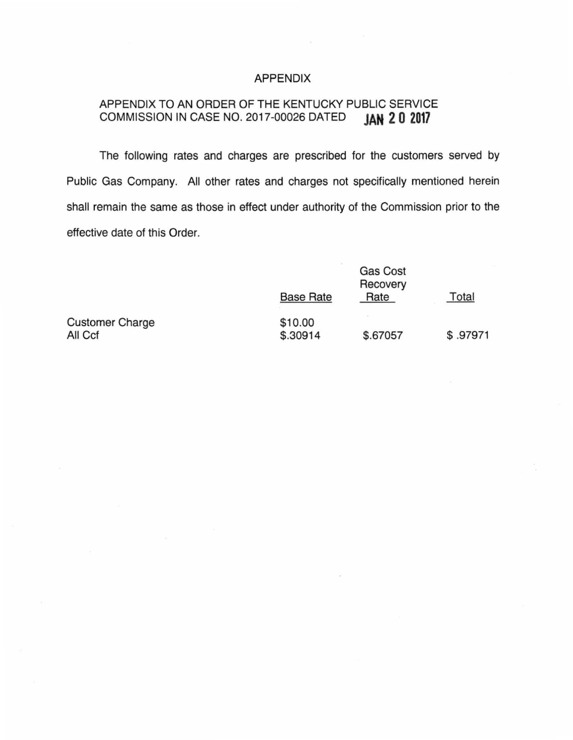## APPENDIX

# APPENDIX TO AN ORDER OF THE KENTUCKY PUBLIC SERVICE<br>COMMISSION IN CASE NO. 2017-00026 DATED JAN 2 0 2017 COMMISSION IN CASE NO. 2017-00026 DATED

The following rates and charges are prescribed for the customers served by Public Gas Company. All other rates and charges not specifically mentioned herein shall remain the same as those in effect under authority of the Commission prior to the effective date of this Order.

|                        | <b>Base Rate</b> | Rate     | Total    |
|------------------------|------------------|----------|----------|
| <b>Customer Charge</b> | \$10.00          |          |          |
| All Ccf                | \$.30914         | \$.67057 | \$.97971 |